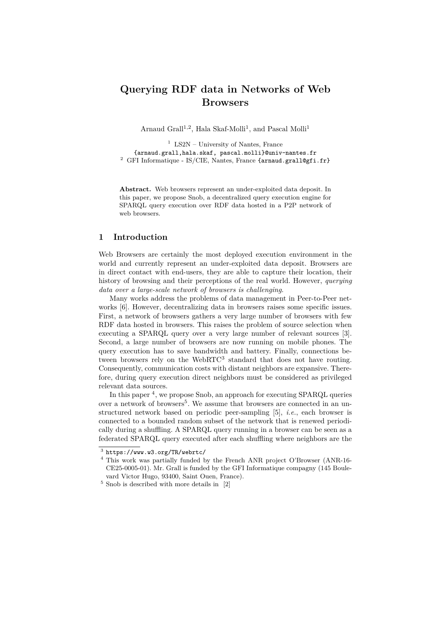# **Querying RDF data in Networks of Web Browsers**

Arnaud Grall<sup>1,2</sup>, Hala Skaf-Molli<sup>1</sup>, and Pascal Molli<sup>1</sup>

<sup>1</sup> LS2N – University of Nantes, France {arnaud.grall,hala.skaf, pascal.molli}@univ-nantes.fr <sup>2</sup> GFI Informatique - IS/CIE, Nantes, France {arnaud.grall@gfi.fr}

**Abstract.** Web browsers represent an under-exploited data deposit. In this paper, we propose Snob, a decentralized query execution engine for SPARQL query execution over RDF data hosted in a P2P network of web browsers.

## **1 Introduction**

Web Browsers are certainly the most deployed execution environment in the world and currently represent an under-exploited data deposit. Browsers are in direct contact with end-users, they are able to capture their location, their history of browsing and their perceptions of the real world. However, *querying data over a large-scale network of browsers is challenging*.

Many works address the problems of data management in Peer-to-Peer networks [\[6\]](#page-3-0). However, decentralizing data in browsers raises some specific issues. First, a network of browsers gathers a very large number of browsers with few RDF data hosted in browsers. This raises the problem of source selection when executing a SPARQL query over a very large number of relevant sources [\[3\]](#page-3-1). Second, a large number of browsers are now running on mobile phones. The query execution has to save bandwidth and battery. Finally, connections be-tween browsers rely on the WebRTC<sup>[3](#page-0-0)</sup> standard that does not have routing. Consequently, communication costs with distant neighbors are expansive. Therefore, during query execution direct neighbors must be considered as privileged relevant data sources.

In this paper<sup>[4](#page-0-1)</sup>, we propose Snob, an approach for executing SPARQL queries over a network of browsers<sup>[5](#page-0-2)</sup>. We assume that browsers are connected in an unstructured network based on periodic peer-sampling [\[5\]](#page-3-2), *i.e.*, each browser is connected to a bounded random subset of the network that is renewed periodically during a shuffling. A SPARQL query running in a browser can be seen as a federated SPARQL query executed after each shuffling where neighbors are the

<span id="page-0-0"></span> $^3$  <https://www.w3.org/TR/webrtc/>

<span id="page-0-1"></span><sup>4</sup> This work was partially funded by the French ANR project O'Browser (ANR-16- CE25-0005-01). Mr. Grall is funded by the GFI Informatique compagny (145 Boulevard Victor Hugo, 93400, Saint Ouen, France).

<span id="page-0-2"></span> $^5$  Snob is described with more details in  $\,$  [\[2\]](#page-3-3)  $\,$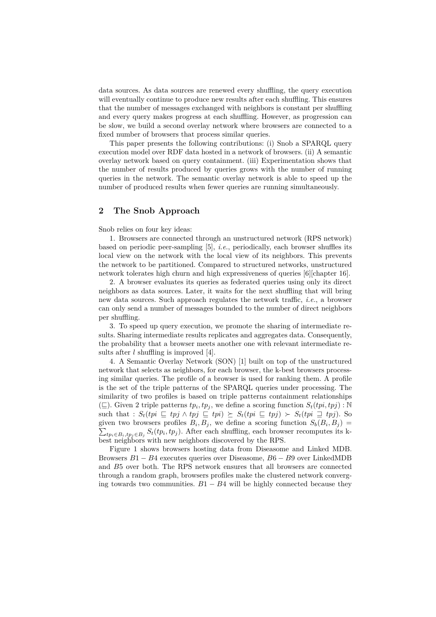data sources. As data sources are renewed every shuffling, the query execution will eventually continue to produce new results after each shuffling. This ensures that the number of messages exchanged with neighbors is constant per shuffling and every query makes progress at each shuffling. However, as progression can be slow, we build a second overlay network where browsers are connected to a fixed number of browsers that process similar queries.

This paper presents the following contributions: (i) Snob a SPARQL query execution model over RDF data hosted in a network of browsers. (ii) A semantic overlay network based on query containment. (iii) Experimentation shows that the number of results produced by queries grows with the number of running queries in the network. The semantic overlay network is able to speed up the number of produced results when fewer queries are running simultaneously.

## **2 The Snob Approach**

#### Snob relies on four key ideas:

1. Browsers are connected through an unstructured network (RPS network) based on periodic peer-sampling [\[5\]](#page-3-2), *i.e.*, periodically, each browser shuffles its local view on the network with the local view of its neighbors. This prevents the network to be partitioned. Compared to structured networks, unstructured network tolerates high churn and high expressiveness of queries [\[6\]](#page-3-0)[chapter 16].

2. A browser evaluates its queries as federated queries using only its direct neighbors as data sources. Later, it waits for the next shuffling that will bring new data sources. Such approach regulates the network traffic, *i.e.*, a browser can only send a number of messages bounded to the number of direct neighbors per shuffling.

3. To speed up query execution, we promote the sharing of intermediate results. Sharing intermediate results replicates and aggregates data. Consequently, the probability that a browser meets another one with relevant intermediate results after *l* shuffling is improved [\[4\]](#page-3-4).

4. A Semantic Overlay Network (SON) [\[1\]](#page-3-5) built on top of the unstructured network that selects as neighbors, for each browser, the k-best browsers processing similar queries. The profile of a browser is used for ranking them. A profile is the set of the triple patterns of the SPARQL queries under processing. The similarity of two profiles is based on triple patterns containment relationships  $(\sqsubseteq)$ . Given 2 triple patterns  $tp_i, tp_j$ , we define a scoring function  $S_t(tpi, tpj)$ : N such that :  $S_t(tpi \sqsubseteq tpj \land tpj \sqsubseteq tpi) \succeq S_t(tpi \sqsubseteq tpj) \succ S_t(tpi \sqsupseteq tpj)$ . So given two browsers profiles  $B_i, B_j$ , we define a scoring function  $S_b(B_i, B_j)$  $\sum_{tp_i \in B_i, tp_j \in B_j} S_t(tp_i, tp_j)$ . After each shuffling, each browser recomputes its kbest neighbors with new neighbors discovered by the RPS.

Figure [1](#page-2-0) shows browsers hosting data from Diseasome and Linked MDB. Browsers *B*1 − *B*4 executes queries over Diseasome, *B*6 − *B*9 over LinkedMDB and *B*5 over both. The RPS network ensures that all browsers are connected through a random graph, browsers profiles make the clustered network converging towards two communities.  $B1 - B4$  will be highly connected because they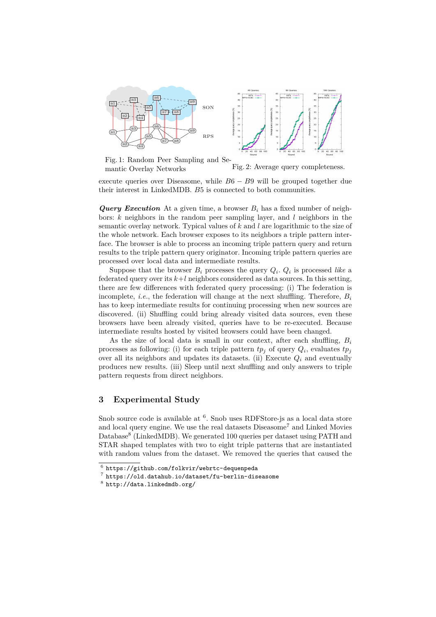<span id="page-2-0"></span>

Fig. 1: Random Peer Sampling and Semantic Overlay Networks Fig. 2: Average query completeness.

execute queries over Diseasome, while  $B6 - B9$  will be grouped together due their interest in LinkedMDB. *B*5 is connected to both communities.

*Query Execution* At a given time, a browser  $B_i$  has a fixed number of neighbors: *k* neighbors in the random peer sampling layer, and *l* neighbors in the semantic overlay network. Typical values of *k* and *l* are logarithmic to the size of the whole network. Each browser exposes to its neighbors a triple pattern interface. The browser is able to process an incoming triple pattern query and return results to the triple pattern query originator. Incoming triple pattern queries are processed over local data and intermediate results.

Suppose that the browser  $B_i$  processes the query  $Q_i$ .  $Q_i$  is processed *like* a federated query over its  $k+l$  neighbors considered as data sources. In this setting, there are few differences with federated query processing: (i) The federation is incomplete, *i.e.*, the federation will change at the next shuffling. Therefore,  $B_i$ has to keep intermediate results for continuing processing when new sources are discovered. (ii) Shuffling could bring already visited data sources, even these browsers have been already visited, queries have to be re-executed. Because intermediate results hosted by visited browsers could have been changed.

As the size of local data is small in our context, after each shuffling, *B<sup>i</sup>* processes as following: (i) for each triple pattern  $tp_j$  of query  $Q_i$ , evaluates  $tp_j$ over all its neighbors and updates its datasets. (ii) Execute  $Q_i$  and eventually produces new results. (iii) Sleep until next shuffling and only answers to triple pattern requests from direct neighbors.

## **3 Experimental Study**

Snob source code is available at <sup>[6](#page-2-1)</sup>. Snob uses RDFStore-js as a local data store and local query engine. We use the real datasets  $D$ iseasome<sup>[7](#page-2-2)</sup> and Linked Movies Database<sup>[8](#page-2-3)</sup> (LinkedMDB). We generated 100 queries per dataset using PATH and STAR shaped templates with two to eight triple patterns that are instantiated with random values from the dataset. We removed the queries that caused the

<span id="page-2-1"></span> $^6$  <https://github.com/folkvir/webrtc-dequenpeda>

<span id="page-2-2"></span> $\frac{7}{1}$  <https://old.datahub.io/dataset/fu-berlin-diseasome>

<span id="page-2-3"></span> $^8$  <http://data.linkedmdb.org/>